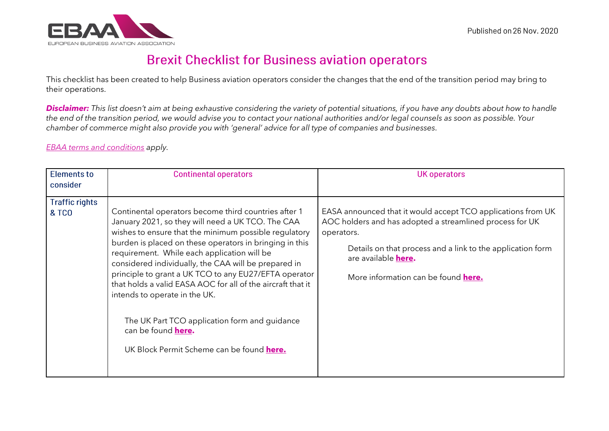

## **Brexit Checklist for Business aviation operators**

This checklist has been created to help Business aviation operators consider the changes that the end of the transition period may bring to their operations.

*Disclaimer: This list doesn't aim at being exhaustive considering the variety of potential situations, if you have any doubts about how to handle the end of the transition period, we would advise you to contact your national authorities and/or legal counsels as soon as possible. Your chamber of commerce might also provide you with 'general' advice for all type of companies and businesses.* 

## *[EBAA terms and conditions](https://www.ebaa.org/terms-conditions/) apply.*

| <b>Elements to</b><br>consider            | <b>Continental operators</b>                                                                                                                                                                                                                                                                                                                                                                                                                                                                                                                                                                                             | <b>UK operators</b>                                                                                                                                                                                                                                                       |
|-------------------------------------------|--------------------------------------------------------------------------------------------------------------------------------------------------------------------------------------------------------------------------------------------------------------------------------------------------------------------------------------------------------------------------------------------------------------------------------------------------------------------------------------------------------------------------------------------------------------------------------------------------------------------------|---------------------------------------------------------------------------------------------------------------------------------------------------------------------------------------------------------------------------------------------------------------------------|
| <b>Traffic rights</b><br><b>&amp; TCO</b> | Continental operators become third countries after 1<br>January 2021, so they will need a UK TCO. The CAA<br>wishes to ensure that the minimum possible regulatory<br>burden is placed on these operators in bringing in this<br>requirement. While each application will be<br>considered individually, the CAA will be prepared in<br>principle to grant a UK TCO to any EU27/EFTA operator<br>that holds a valid EASA AOC for all of the aircraft that it<br>intends to operate in the UK.<br>The UK Part TCO application form and guidance<br>can be found <b>here.</b><br>UK Block Permit Scheme can be found here. | EASA announced that it would accept TCO applications from UK<br>AOC holders and has adopted a streamlined process for UK<br>operators.<br>Details on that process and a link to the application form<br>are available here.<br>More information can be found <b>here.</b> |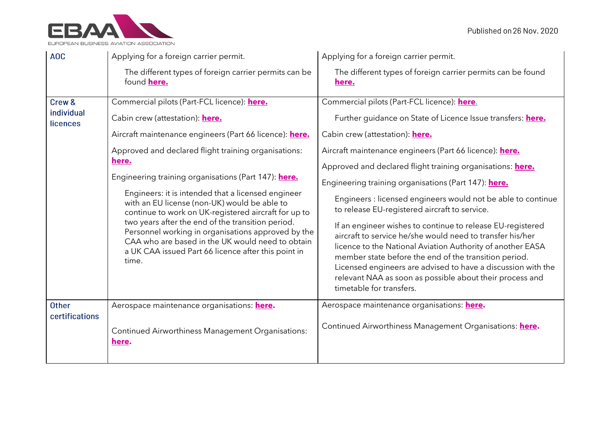

| AOC                            | Applying for a foreign carrier permit.                                                                                                                                                                                                                                                                                                                                                    | Applying for a foreign carrier permit.                                                                                                                                                                                                                                                                                                                                                                 |
|--------------------------------|-------------------------------------------------------------------------------------------------------------------------------------------------------------------------------------------------------------------------------------------------------------------------------------------------------------------------------------------------------------------------------------------|--------------------------------------------------------------------------------------------------------------------------------------------------------------------------------------------------------------------------------------------------------------------------------------------------------------------------------------------------------------------------------------------------------|
|                                | The different types of foreign carrier permits can be<br>found <b>here.</b>                                                                                                                                                                                                                                                                                                               | The different types of foreign carrier permits can be found<br>here.                                                                                                                                                                                                                                                                                                                                   |
| Crew &                         | Commercial pilots (Part-FCL licence): here.                                                                                                                                                                                                                                                                                                                                               | Commercial pilots (Part-FCL licence): here.                                                                                                                                                                                                                                                                                                                                                            |
| individual<br>licences         | Cabin crew (attestation): here.                                                                                                                                                                                                                                                                                                                                                           | Further guidance on State of Licence Issue transfers: here.                                                                                                                                                                                                                                                                                                                                            |
|                                | Aircraft maintenance engineers (Part 66 licence): here.                                                                                                                                                                                                                                                                                                                                   | Cabin crew (attestation): <b>here.</b>                                                                                                                                                                                                                                                                                                                                                                 |
|                                | Approved and declared flight training organisations:                                                                                                                                                                                                                                                                                                                                      | Aircraft maintenance engineers (Part 66 licence): here.                                                                                                                                                                                                                                                                                                                                                |
|                                | here.                                                                                                                                                                                                                                                                                                                                                                                     | Approved and declared flight training organisations: <b>here.</b>                                                                                                                                                                                                                                                                                                                                      |
|                                | Engineering training organisations (Part 147): here.                                                                                                                                                                                                                                                                                                                                      | Engineering training organisations (Part 147): here.                                                                                                                                                                                                                                                                                                                                                   |
|                                | Engineers: it is intended that a licensed engineer<br>with an EU license (non-UK) would be able to<br>continue to work on UK-registered aircraft for up to<br>two years after the end of the transition period.<br>Personnel working in organisations approved by the<br>CAA who are based in the UK would need to obtain<br>a UK CAA issued Part 66 licence after this point in<br>time. | Engineers : licensed engineers would not be able to continue<br>to release EU-registered aircraft to service.                                                                                                                                                                                                                                                                                          |
|                                |                                                                                                                                                                                                                                                                                                                                                                                           | If an engineer wishes to continue to release EU-registered<br>aircraft to service he/she would need to transfer his/her<br>licence to the National Aviation Authority of another EASA<br>member state before the end of the transition period.<br>Licensed engineers are advised to have a discussion with the<br>relevant NAA as soon as possible about their process and<br>timetable for transfers. |
| <b>Other</b><br>certifications | Aerospace maintenance organisations: here.                                                                                                                                                                                                                                                                                                                                                | Aerospace maintenance organisations: <b>here.</b>                                                                                                                                                                                                                                                                                                                                                      |
|                                | Continued Airworthiness Management Organisations:<br>here.                                                                                                                                                                                                                                                                                                                                | Continued Airworthiness Management Organisations: here.                                                                                                                                                                                                                                                                                                                                                |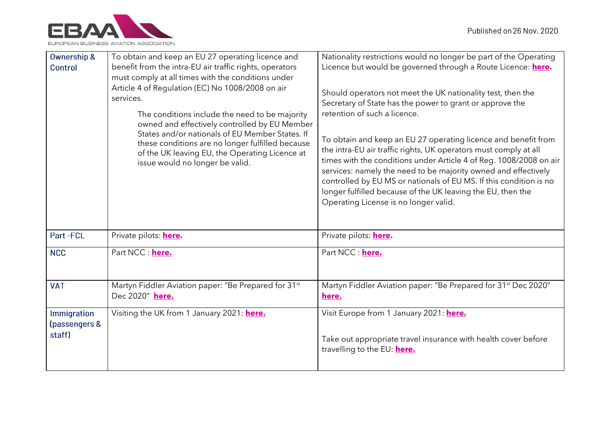

| <b>Ownership &amp;</b><br>Control      | To obtain and keep an EU 27 operating licence and<br>benefit from the intra-EU air traffic rights, operators<br>must comply at all times with the conditions under<br>Article 4 of Regulation (EC) No 1008/2008 on air<br>services.<br>The conditions include the need to be majority<br>owned and effectively controlled by EU Member<br>States and/or nationals of EU Member States. If<br>these conditions are no longer fulfilled because<br>of the UK leaving EU, the Operating Licence at<br>issue would no longer be valid. | Nationality restrictions would no longer be part of the Operating<br>Licence but would be governed through a Route Licence: here.<br>Should operators not meet the UK nationality test, then the<br>Secretary of State has the power to grant or approve the<br>retention of such a licence.<br>To obtain and keep an EU 27 operating licence and benefit from<br>the intra-EU air traffic rights, UK operators must comply at all<br>times with the conditions under Article 4 of Reg. 1008/2008 on air<br>services: namely the need to be majority owned and effectively<br>controlled by EU MS or nationals of EU MS. If this condition is no<br>longer fulfilled because of the UK leaving the EU, then the<br>Operating License is no longer valid. |
|----------------------------------------|------------------------------------------------------------------------------------------------------------------------------------------------------------------------------------------------------------------------------------------------------------------------------------------------------------------------------------------------------------------------------------------------------------------------------------------------------------------------------------------------------------------------------------|----------------------------------------------------------------------------------------------------------------------------------------------------------------------------------------------------------------------------------------------------------------------------------------------------------------------------------------------------------------------------------------------------------------------------------------------------------------------------------------------------------------------------------------------------------------------------------------------------------------------------------------------------------------------------------------------------------------------------------------------------------|
| Part-FCL                               | Private pilots: <b>here.</b>                                                                                                                                                                                                                                                                                                                                                                                                                                                                                                       | Private pilots: <b>here.</b>                                                                                                                                                                                                                                                                                                                                                                                                                                                                                                                                                                                                                                                                                                                             |
| <b>NCC</b>                             | Part NCC : here.                                                                                                                                                                                                                                                                                                                                                                                                                                                                                                                   | Part NCC : here.                                                                                                                                                                                                                                                                                                                                                                                                                                                                                                                                                                                                                                                                                                                                         |
| <b>VAT</b>                             | Martyn Fiddler Aviation paper: "Be Prepared for 31 <sup>st</sup><br>Dec 2020" here.                                                                                                                                                                                                                                                                                                                                                                                                                                                | Martyn Fiddler Aviation paper: "Be Prepared for 31 <sup>st</sup> Dec 2020"<br>here.                                                                                                                                                                                                                                                                                                                                                                                                                                                                                                                                                                                                                                                                      |
| Immigration<br>(passengers &<br>staff) | Visiting the UK from 1 January 2021: here.                                                                                                                                                                                                                                                                                                                                                                                                                                                                                         | Visit Europe from 1 January 2021: here.<br>Take out appropriate travel insurance with health cover before<br>travelling to the EU: <b>here.</b>                                                                                                                                                                                                                                                                                                                                                                                                                                                                                                                                                                                                          |